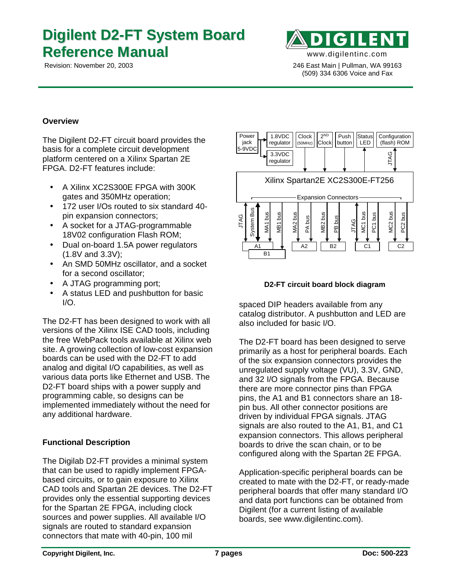# **Digilent D2-FT System Board Reference Manual** www.digilentinc.com



 Revision: November 20, 2003 246 East Main | Pullman, WA 99163 (509) 334 6306 Voice and Fax

#### **Overview**

The Digilent D2-FT circuit board provides the basis for a complete circuit development platform centered on a Xilinx Spartan 2E FPGA. D2-FT features include:

- A Xilinx XC2S300E FPGA with 300K gates and 350MHz operation;
- 172 user I/Os routed to six standard 40 pin expansion connectors;
- A socket for a JTAG-programmable 18V02 configuration Flash ROM;
- Dual on-board 1.5A power regulators (1.8V and 3.3V);
- An SMD 50MHz oscillator, and a socket for a second oscillator;
- A JTAG programming port;
- A status LED and pushbutton for basic  $I/O$ .

The D2-FT has been designed to work with all versions of the Xilinx ISE CAD tools, including the free WebPack tools available at Xilinx web site. A growing collection of low-cost expansion boards can be used with the D2-FT to add analog and digital I/O capabilities, as well as various data ports like Ethernet and USB. The D2-FT board ships with a power supply and programming cable, so designs can be implemented immediately without the need for any additional hardware.

#### **Functional Description**

The Digilab D2-FT provides a minimal system that can be used to rapidly implement FPGAbased circuits, or to gain exposure to Xilinx CAD tools and Spartan 2E devices. The D2-FT provides only the essential supporting devices for the Spartan 2E FPGA, including clock sources and power supplies. All available I/O signals are routed to standard expansion connectors that mate with 40-pin, 100 mil



#### **D2-FT circuit board block diagram**

spaced DIP headers available from any catalog distributor. A pushbutton and LED are also included for basic I/O.

The D2-FT board has been designed to serve primarily as a host for peripheral boards. Each of the six expansion connectors provides the unregulated supply voltage (VU), 3.3V, GND, and 32 I/O signals from the FPGA. Because there are more connector pins than FPGA pins, the A1 and B1 connectors share an 18 pin bus. All other connector positions are driven by individual FPGA signals. JTAG signals are also routed to the A1, B1, and C1 expansion connectors. This allows peripheral boards to drive the scan chain, or to be configured along with the Spartan 2E FPGA.  $\frac{2}{3}$   $\frac{2}{3}$   $\frac{2}{3}$   $\frac{2}{3}$   $\frac{2}{3}$   $\frac{2}{3}$   $\frac{2}{3}$   $\frac{2}{3}$   $\frac{2}{3}$   $\frac{2}{3}$   $\frac{2}{3}$   $\frac{2}{3}$   $\frac{2}{3}$   $\frac{2}{3}$   $\frac{2}{3}$   $\frac{2}{3}$   $\frac{2}{3}$   $\frac{2}{3}$   $\frac{2}{3}$   $\frac{2}{3}$   $\frac{2}{3}$   $\frac{2}{3}$ 

Application-specific peripheral boards can be created to mate with the D2-FT, or ready-made peripheral boards that offer many standard I/O and data port functions can be obtained from Digilent (for a current listing of available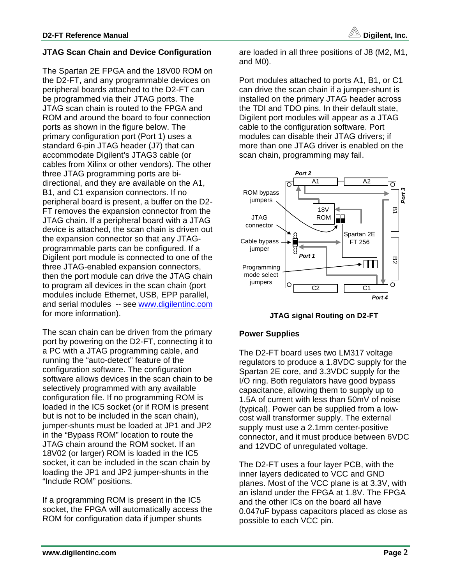### **JTAG Scan Chain and Device Configuration**

The Spartan 2E FPGA and the 18V00 ROM on the D2-FT, and any programmable devices on peripheral boards attached to the D2-FT can be programmed via their JTAG ports. The JTAG scan chain is routed to the FPGA and ROM and around the board to four connection ports as shown in the figure below. The primary configuration port (Port 1) uses a standard 6-pin JTAG header (J7) that can accommodate Digilent's JTAG3 cable (or cables from Xilinx or other vendors). The other three JTAG programming ports are bidirectional, and they are available on the A1, B1, and C1 expansion connectors. If no peripheral board is present, a buffer on the D2- FT removes the expansion connector from the JTAG chain. If a peripheral board with a JTAG device is attached, the scan chain is driven out the expansion connector so that any JTAGprogrammable parts can be configured. If a Digilent port module is connected to one of the three JTAG-enabled expansion connectors, then the port module can drive the JTAG chain to program all devices in the scan chain (port modules include Ethernet, USB, EPP parallel, and serial modules -- see www.digilentinc.com for more information).

The scan chain can be driven from the primary port by powering on the D2-FT, connecting it to a PC with a JTAG programming cable, and running the "auto-detect" feature of the configuration software. The configuration software allows devices in the scan chain to be selectively programmed with any available configuration file. If no programming ROM is loaded in the IC5 socket (or if ROM is present but is not to be included in the scan chain), jumper-shunts must be loaded at JP1 and JP2 in the "Bypass ROM" location to route the JTAG chain around the ROM socket. If an 18V02 (or larger) ROM is loaded in the IC5 socket, it can be included in the scan chain by loading the JP1 and JP2 jumper-shunts in the "Include ROM" positions.

If a programming ROM is present in the IC5 socket, the FPGA will automatically access the ROM for configuration data if jumper shunts

are loaded in all three positions of J8 (M2, M1, and M0).

Port modules attached to ports A1, B1, or C1 can drive the scan chain if a jumper-shunt is installed on the primary JTAG header across the TDI and TDO pins. In their default state, Digilent port modules will appear as a JTAG cable to the configuration software. Port modules can disable their JTAG drivers; if more than one JTAG driver is enabled on the scan chain, programming may fail.



**JTAG signal Routing on D2-FT**

#### **Power Supplies**

The D2-FT board uses two LM317 voltage regulators to produce a 1.8VDC supply for the Spartan 2E core, and 3.3VDC supply for the I/O ring. Both regulators have good bypass capacitance, allowing them to supply up to 1.5A of current with less than 50mV of noise (typical). Power can be supplied from a lowcost wall transformer supply. The external supply must use a 2.1mm center-positive connector, and it must produce between 6VDC and 12VDC of unregulated voltage.

The D2-FT uses a four layer PCB, with the inner layers dedicated to VCC and GND planes. Most of the VCC plane is at 3.3V, with an island under the FPGA at 1.8V. The FPGA and the other ICs on the board all have 0.047uF bypass capacitors placed as close as possible to each VCC pin.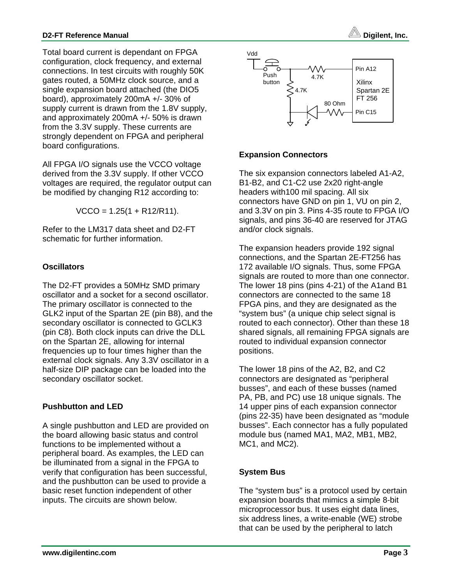Total board current is dependant on FPGA configuration, clock frequency, and external connections. In test circuits with roughly 50K gates routed, a 50MHz clock source, and a single expansion board attached (the DIO5 board), approximately 200mA +/- 30% of supply current is drawn from the 1.8V supply, and approximately 200mA +/- 50% is drawn from the 3.3V supply. These currents are strongly dependent on FPGA and peripheral board configurations.

All FPGA I/O signals use the VCCO voltage derived from the 3.3V supply. If other VCCO voltages are required, the regulator output can be modified by changing R12 according to:

 $VCCO = 1.25(1 + R12/R11).$ 

Refer to the LM317 data sheet and D2-FT schematic for further information.

#### **Oscillators**

The D2-FT provides a 50MHz SMD primary oscillator and a socket for a second oscillator. The primary oscillator is connected to the GLK2 input of the Spartan 2E (pin B8), and the secondary oscillator is connected to GCLK3 (pin C8). Both clock inputs can drive the DLL on the Spartan 2E, allowing for internal frequencies up to four times higher than the external clock signals. Any 3.3V oscillator in a half-size DIP package can be loaded into the secondary oscillator socket.

## **Pushbutton and LED**

A single pushbutton and LED are provided on the board allowing basic status and control functions to be implemented without a peripheral board. As examples, the LED can be illuminated from a signal in the FPGA to verify that configuration has been successful, and the pushbutton can be used to provide a basic reset function independent of other inputs. The circuits are shown below.



### **Expansion Connectors**

The six expansion connectors labeled A1-A2, B1-B2, and C1-C2 use 2x20 right-angle headers with100 mil spacing. All six connectors have GND on pin 1, VU on pin 2, and 3.3V on pin 3. Pins 4-35 route to FPGA I/O signals, and pins 36-40 are reserved for JTAG and/or clock signals.

The expansion headers provide 192 signal connections, and the Spartan 2E-FT256 has 172 available I/O signals. Thus, some FPGA signals are routed to more than one connector. The lower 18 pins (pins 4-21) of the A1and B1 connectors are connected to the same 18 FPGA pins, and they are designated as the "system bus" (a unique chip select signal is routed to each connector). Other than these 18 shared signals, all remaining FPGA signals are routed to individual expansion connector positions.

The lower 18 pins of the A2, B2, and C2 connectors are designated as "peripheral busses", and each of these busses (named PA, PB, and PC) use 18 unique signals. The 14 upper pins of each expansion connector (pins 22-35) have been designated as "module busses". Each connector has a fully populated module bus (named MA1, MA2, MB1, MB2, MC1, and MC2).

## **System Bus**

The "system bus" is a protocol used by certain expansion boards that mimics a simple 8-bit microprocessor bus. It uses eight data lines, six address lines, a write-enable (WE) strobe that can be used by the peripheral to latch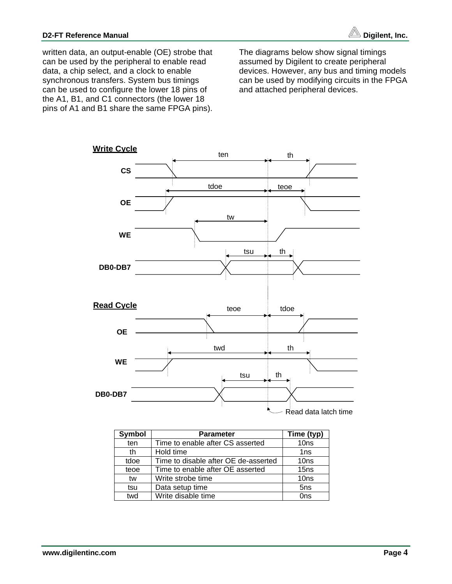

written data, an output-enable (OE) strobe that can be used by the peripheral to enable read data, a chip select, and a clock to enable synchronous transfers. System bus timings can be used to configure the lower 18 pins of the A1, B1, and C1 connectors (the lower 18 pins of A1 and B1 share the same FPGA pins).

The diagrams below show signal timings assumed by Digilent to create peripheral devices. However, any bus and timing models can be used by modifying circuits in the FPGA and attached peripheral devices.



| <b>Symbol</b> | <b>Parameter</b>                     | Time (typ)       |
|---------------|--------------------------------------|------------------|
| ten           | Time to enable after CS asserted     | 10 <sub>ns</sub> |
| th            | Hold time                            | 1ns              |
| tdoe          | Time to disable after OE de-asserted | 10 <sub>ns</sub> |
| teoe          | Time to enable after OE asserted     | 15 <sub>ns</sub> |
| tw            | Write strobe time                    | 10 <sub>ns</sub> |
| tsu           | Data setup time                      | 5 <sub>ns</sub>  |
| twd           | Write disable time                   | Ons              |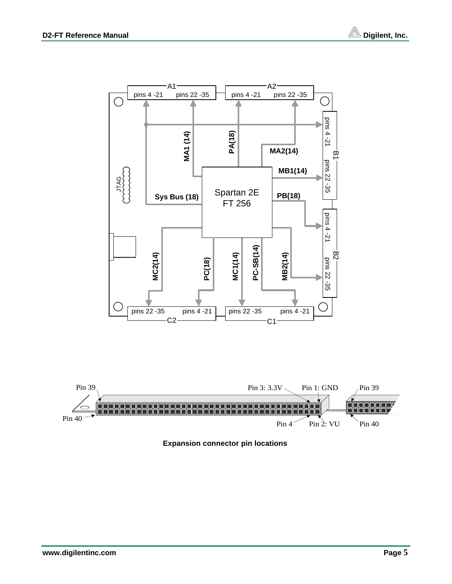



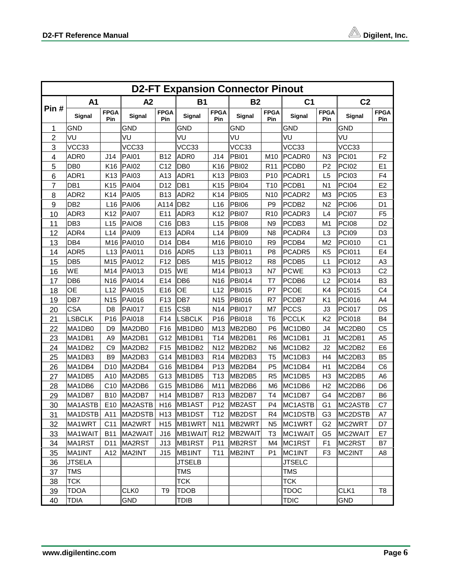$\overline{a}$ 

| <b>D2-FT Expansion Connector Pinout</b> |                  |                           |                   |                    |                    |                    |                                 |                    |                   |                    |                |                    |  |
|-----------------------------------------|------------------|---------------------------|-------------------|--------------------|--------------------|--------------------|---------------------------------|--------------------|-------------------|--------------------|----------------|--------------------|--|
|                                         | A1               |                           | A2                |                    | <b>B1</b>          |                    | <b>B2</b>                       |                    | C <sub>1</sub>    |                    | C <sub>2</sub> |                    |  |
| Pin#                                    | Signal           | <b>FPGA</b><br><b>Pin</b> | Signal            | <b>FPGA</b><br>Pin | Signal             | <b>FPGA</b><br>Pin | <b>Signal</b>                   | <b>FPGA</b><br>Pin | <b>Signal</b>     | <b>FPGA</b><br>Pin | Signal         | <b>FPGA</b><br>Pin |  |
| 1                                       | <b>GND</b>       |                           | <b>GND</b>        |                    | <b>GND</b>         |                    | <b>GND</b>                      |                    | <b>GND</b>        |                    | GND            |                    |  |
| $\boldsymbol{2}$                        | VU               |                           | VU                |                    | VU                 |                    | VU                              |                    | VU                |                    | VU             |                    |  |
| 3                                       | VCC33            |                           | VCC33             |                    | VCC33              |                    | VCC33                           |                    | VCC33             |                    | VCC33          |                    |  |
| 4                                       | ADR <sub>0</sub> | J14                       | <b>PAI01</b>      | <b>B12</b>         | ADR0               | J14                | PBI01                           | M <sub>10</sub>    | PCADR0            | N <sub>3</sub>     | PCI01          | F <sub>2</sub>     |  |
| 5                                       | DB <sub>0</sub>  | K <sub>16</sub>           | <b>PAI02</b>      | C <sub>12</sub>    | D <sub>B0</sub>    | K16                | <b>PBI02</b>                    | R <sub>11</sub>    | PCDB <sub>0</sub> | P <sub>2</sub>     | <b>PCI02</b>   | E1                 |  |
| 6                                       | ADR1             | K <sub>13</sub>           | <b>PAI03</b>      | A13                | ADR1               | K13                | <b>PBI03</b>                    | P <sub>10</sub>    | PCADR1            | L <sub>5</sub>     | <b>PCI03</b>   | F <sub>4</sub>     |  |
| 7                                       | DB1              | K <sub>15</sub>           | <b>PAI04</b>      | D <sub>12</sub>    | DB <sub>1</sub>    | K <sub>15</sub>    | <b>PBI04</b>                    | T <sub>10</sub>    | PCDB1             | N <sub>1</sub>     | PCI04          | E <sub>2</sub>     |  |
| 8                                       | ADR <sub>2</sub> | K14                       | <b>PAI05</b>      | <b>B13</b>         | ADR <sub>2</sub>   | K14                | PBI05                           | N <sub>10</sub>    | PCADR2            | M <sub>3</sub>     | <b>PCI05</b>   | E <sub>3</sub>     |  |
| 9                                       | DB <sub>2</sub>  | L16                       | <b>PAI06</b>      | A114 DB2           |                    | L16                | <b>PBI06</b>                    | P <sub>9</sub>     | PCDB <sub>2</sub> | N <sub>2</sub>     | <b>PCI06</b>   | D <sub>1</sub>     |  |
| 10                                      | ADR3             | K <sub>12</sub>           | <b>PAI07</b>      | E11                | ADR3               | K <sub>12</sub>    | <b>PBI07</b>                    | R <sub>10</sub>    | PCADR3            | L4                 | PCI07          | F <sub>5</sub>     |  |
| 11                                      | DB <sub>3</sub>  | L15                       | PAIO <sub>8</sub> | C <sub>16</sub>    | DB <sub>3</sub>    | L15                | <b>PBI08</b>                    | N <sub>9</sub>     | PCDB3             | M <sub>1</sub>     | <b>PCI08</b>   | D <sub>2</sub>     |  |
| 12                                      | ADR4             | L <sub>14</sub>           | <b>PAI09</b>      | E <sub>13</sub>    | ADR4               | L14                | <b>PBI09</b>                    | N <sub>8</sub>     | PCADR4            | L <sub>3</sub>     | <b>PCI09</b>   | D <sub>3</sub>     |  |
| 13                                      | DB <sub>4</sub>  | M16                       | <b>PAI010</b>     | D14                | DB <sub>4</sub>    | M16                | <b>PBI010</b>                   | R <sub>9</sub>     | PCDB4             | M <sub>2</sub>     | <b>PCI010</b>  | C1                 |  |
| 14                                      | ADR <sub>5</sub> | L13                       | <b>PAI011</b>     | D <sub>16</sub>    | ADR <sub>5</sub>   | L13                | <b>PBI011</b>                   | P <sub>8</sub>     | PCADR5            | K <sub>5</sub>     | <b>PCI011</b>  | E4                 |  |
| 15                                      | DB <sub>5</sub>  | M15                       | <b>PAI012</b>     | F12                | DB <sub>5</sub>    | M15                | <b>PBI012</b>                   | R <sub>8</sub>     | PCDB5             | L1                 | <b>PCI012</b>  | A3                 |  |
| 16                                      | WE               | M14                       | <b>PAI013</b>     | D <sub>15</sub>    | WE                 | M14                | <b>PBI013</b>                   | N7                 | <b>PCWE</b>       | K <sub>3</sub>     | <b>PCI013</b>  | C <sub>2</sub>     |  |
| 17                                      | DB <sub>6</sub>  | N <sub>16</sub>           | <b>PAI014</b>     | E14                | DB <sub>6</sub>    | N <sub>16</sub>    | <b>PBI014</b>                   | T7                 | PCDB6             | L2                 | <b>PCI014</b>  | B <sub>3</sub>     |  |
| 18                                      | <b>OE</b>        | L12                       | <b>PAI015</b>     | E16                | OE                 | L12                | <b>PBI015</b>                   | P7                 | <b>PCOE</b>       | K4                 | <b>PCI015</b>  | C <sub>4</sub>     |  |
| 19                                      | DB7              | N <sub>15</sub>           | <b>PAI016</b>     | F <sub>13</sub>    | DB7                | N <sub>15</sub>    | <b>PBI016</b>                   | R7                 | PCDB7             | K <sub>1</sub>     | <b>PCI016</b>  | A4                 |  |
| 20                                      | <b>CSA</b>       | D <sub>8</sub>            | <b>PAI017</b>     | E <sub>15</sub>    | <b>CSB</b>         | N <sub>14</sub>    | <b>PBI017</b>                   | M7                 | <b>PCCS</b>       | J3                 | <b>PCI017</b>  | DS                 |  |
| 21                                      | <b>LSBCLK</b>    | P <sub>16</sub>           | <b>PAI018</b>     | F14                | <b>LSBCLK</b>      | P <sub>16</sub>    | <b>PBI018</b>                   | T <sub>6</sub>     | <b>PCCLK</b>      | K <sub>2</sub>     | <b>PCI018</b>  | B <sub>4</sub>     |  |
| 22                                      | MA1DB0           | D <sub>9</sub>            | MA2DB0            | F <sub>16</sub>    | MB <sub>1DB0</sub> | M13                | MB2DB0                          | P <sub>6</sub>     | MC1DB0            | J4                 | MC2DB0         | C <sub>5</sub>     |  |
| 23                                      | MA1DB1           | A <sub>9</sub>            | MA2DB1            | G12                | MB1DB1             | T14                | MB <sub>2</sub> D <sub>B1</sub> | R <sub>6</sub>     | MC1DB1            | J1                 | MC2DB1         | A <sub>5</sub>     |  |
| 24                                      | MA1DB2           | C <sub>9</sub>            | MA2DB2            | F <sub>15</sub>    | MB1DB2             | N <sub>12</sub>    | MB2DB2                          | N <sub>6</sub>     | MC1DB2            | J <sub>2</sub>     | MC2DB2         | E <sub>6</sub>     |  |
| 25                                      | MA1DB3           | B <sub>9</sub>            | MA2DB3            | G14                | MB1DB3             | R <sub>14</sub>    | MB2DB3                          | T <sub>5</sub>     | MC1DB3            | H4                 | MC2DB3         | B <sub>5</sub>     |  |
| 26                                      | MA1DB4           | D <sub>10</sub>           | MA2DB4            | G16                | MB1DB4             | P <sub>13</sub>    | MB2DB4                          | P <sub>5</sub>     | MC1DB4            | H1                 | MC2DB4         | C <sub>6</sub>     |  |
| 27                                      | MA1DB5           | A10                       | MA2DB5            | G13                | MB1DB5             | T <sub>13</sub>    | MB <sub>2DB5</sub>              | R <sub>5</sub>     | MC1DB5            | H <sub>3</sub>     | MC2DB5         | A6                 |  |
| 28                                      | MA1DB6           | C <sub>10</sub>           | MA2DB6            | G15                | MB <sub>1DB6</sub> | M11                | MB2DB6                          | M <sub>6</sub>     | MC1DB6            | H <sub>2</sub>     | MC2DB6         | D <sub>6</sub>     |  |
| 29                                      | MA1DB7           | <b>B10</b>                | MA2DB7            | H14                | MB1DB7             | R <sub>13</sub>    | MB2DB7                          | T <sub>4</sub>     | MC1DB7            | G4                 | MC2DB7         | B <sub>6</sub>     |  |
| 30                                      | MA1ASTB          | E10                       | MA2ASTB           | H <sub>16</sub>    | MB1AST             | P <sub>12</sub>    | MB2AST                          | P <sub>4</sub>     | MC1ASTB           | G <sub>1</sub>     | MC2ASTB        | C7                 |  |
| 31                                      | MA1DSTB          |                           | A11 MA2DSTB       | H <sub>13</sub>    | MB1DST             |                    | T12 MB2DST                      | R4                 | MC1DSTB           | G <sub>3</sub>     | MC2DSTB        | A7                 |  |
| 32                                      | MA1WRT           | C <sub>11</sub>           | MA2WRT            | H <sub>15</sub>    | MB1WRT             | N <sub>11</sub>    | MB <sub>2</sub> WRT             | N5                 | MC1WRT            | G2                 | MC2WRT         | D7                 |  |
| 33                                      | MA1WAIT          | <b>B11</b>                | MA2WAIT           | J16                | MB1WAIT            | R <sub>12</sub>    | MB2WAIT                         | T3                 | MC1WAIT           | G5                 | MC2WAIT        | E7                 |  |
| 34                                      | MA1RST           | D11                       | MA2RST            | J13                | MB <sub>1RST</sub> | P11                | MB <sub>2RST</sub>              | M4                 | MC1RST            | F1                 | MC2RST         | B7                 |  |
| 35                                      | MA1INT           | A12                       | MA2INT            | J15                | MB1INT             | T11                | MB2INT                          | P <sub>1</sub>     | MC1INT            | F <sub>3</sub>     | MC2INT         | A8                 |  |
| 36                                      | <b>JTSELA</b>    |                           |                   |                    | <b>JTSELB</b>      |                    |                                 |                    | <b>JTSELC</b>     |                    |                |                    |  |
| 37                                      | <b>TMS</b>       |                           |                   |                    | <b>TMS</b>         |                    |                                 |                    | <b>TMS</b>        |                    |                |                    |  |
| 38                                      | <b>TCK</b>       |                           |                   |                    | <b>TCK</b>         |                    |                                 |                    | <b>TCK</b>        |                    |                |                    |  |
| 39                                      | <b>TDOA</b>      |                           | CLK0              | T9                 | <b>TDOB</b>        |                    |                                 |                    | <b>TDOC</b>       |                    | CLK1           | T8                 |  |
| 40                                      | <b>TDIA</b>      |                           | GND               |                    | <b>TDIB</b>        |                    |                                 |                    | <b>TDIC</b>       |                    | <b>GND</b>     |                    |  |